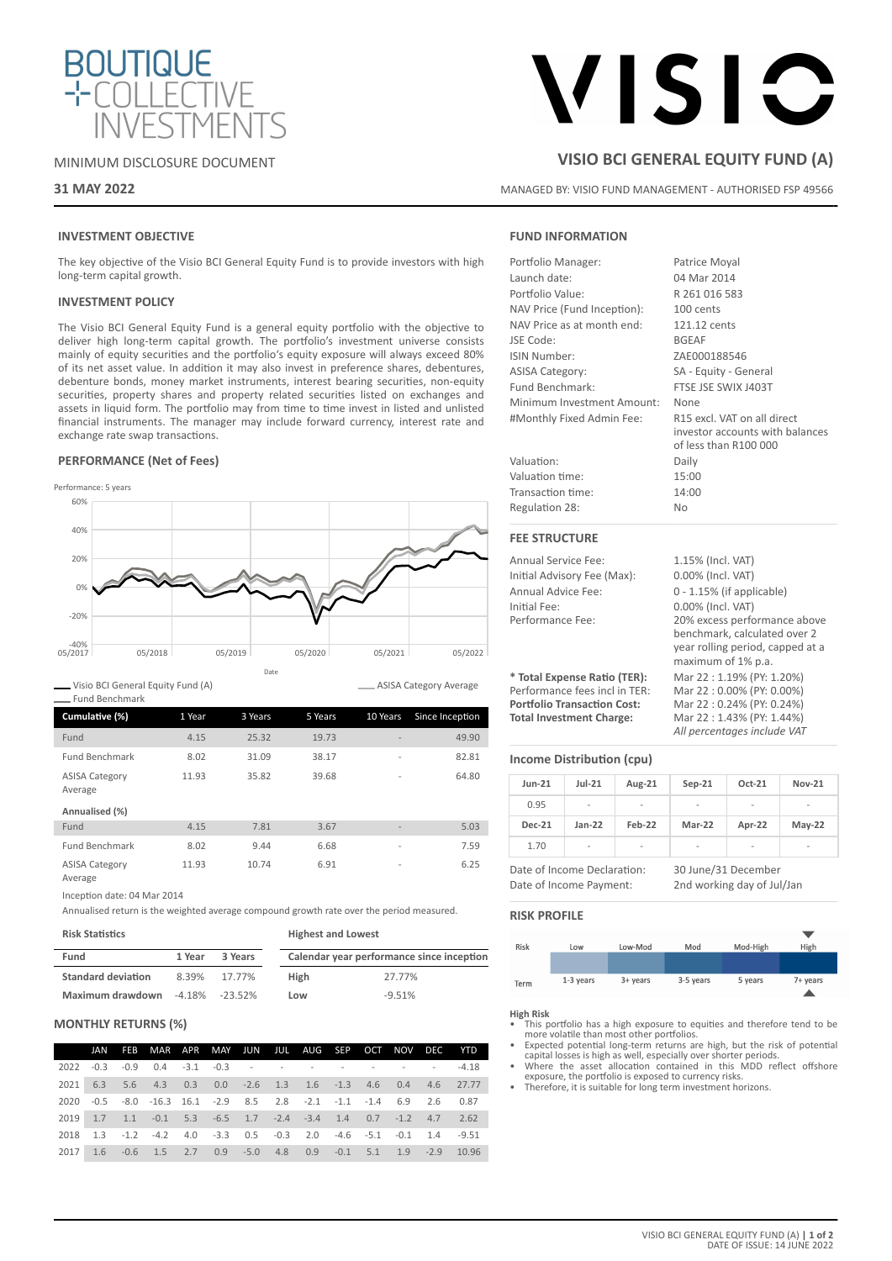

# MINIMUM DISCLOSURE DOCUMENT

# **31 MAY 2022**

# VISIC

# **VISIO BCI GENERAL EQUITY FUND (A)**

MANAGED BY: VISIO FUND MANAGEMENT - AUTHORISED FSP 49566

# **INVESTMENT OBJECTIVE**

The key objective of the Visio BCI General Equity Fund is to provide investors with high long-term capital growth.

## **INVESTMENT POLICY**

The Visio BCI General Equity Fund is a general equity portfolio with the objective to deliver high long-term capital growth. The portfolio's investment universe consists mainly of equity securities and the portfolio's equity exposure will always exceed 80% of its net asset value. In addition it may also invest in preference shares, debentures, debenture bonds, money market instruments, interest bearing securities, non-equity securities, property shares and property related securities listed on exchanges and assets in liquid form. The portfolio may from time to time invest in listed and unlisted financial instruments. The manager may include forward currency, interest rate and exchange rate swap transactions.

### **PERFORMANCE (Net of Fees)**



Visio BCI General Equity Fund (A)

ASISA Category Average

| Fund Benchmark                   |        |         |         |                          |                 |
|----------------------------------|--------|---------|---------|--------------------------|-----------------|
| Cumulative (%)                   | 1 Year | 3 Years | 5 Years | 10 Years                 | Since Inception |
| Fund                             | 4.15   | 25.32   | 19.73   |                          | 49.90           |
| <b>Fund Benchmark</b>            | 8.02   | 31.09   | 38.17   | $\overline{\phantom{a}}$ | 82.81           |
| <b>ASISA Category</b><br>Average | 11.93  | 35.82   | 39.68   | $\overline{a}$           | 64.80           |
| Annualised (%)                   |        |         |         |                          |                 |
| Fund                             | 4.15   | 7.81    | 3.67    |                          | 5.03            |
| <b>Fund Benchmark</b>            | 8.02   | 9.44    | 6.68    | $\overline{a}$           | 7.59            |
| <b>ASISA Category</b><br>Average | 11.93  | 10.74   | 6.91    | $\overline{\phantom{a}}$ | 6.25            |

Inception date: 04 Mar 2014

**Risk Statistics**

Annualised return is the weighted average compound growth rate over the period measured.

| NISN JIALISLIUS.          |        |                      | <b>HIRLICSL GITUL LUWESL</b> |                                           |  |  |
|---------------------------|--------|----------------------|------------------------------|-------------------------------------------|--|--|
| Fund                      | 1 Year | 3 Years              |                              | Calendar year performance since inception |  |  |
| <b>Standard deviation</b> | 8.39%  | 17.77%               | High                         | 27.77%                                    |  |  |
| Maximum drawdown          |        | $-4.18\%$ $-23.52\%$ | Low                          | $-9.51%$                                  |  |  |

**Highest and Lowest**

# **MONTHLY RETURNS (%)**

|      | JAN |                                                                                         |  |  |  |  | FEB MAR APR MAY JUN JUL AUG SEP OCT NOV DEC YTD              |
|------|-----|-----------------------------------------------------------------------------------------|--|--|--|--|--------------------------------------------------------------|
|      |     | 2022 -0.3 -0.9 0.4 -3.1 -0.3 - - - - - - - - - - - - -4.18                              |  |  |  |  |                                                              |
|      |     |                                                                                         |  |  |  |  | 2021 6.3 5.6 4.3 0.3 0.0 -2.6 1.3 1.6 -1.3 4.6 0.4 4.6 27.77 |
| 2020 |     | $-0.5$ $-8.0$ $-16.3$ $16.1$ $-2.9$ $8.5$ $2.8$ $-2.1$ $-1.1$ $-1.4$ $6.9$ $2.6$ $0.87$ |  |  |  |  |                                                              |
|      |     | 2019 1.7 1.1 -0.1 5.3 -6.5 1.7 -2.4 -3.4 1.4 0.7 -1.2 4.7 2.62                          |  |  |  |  |                                                              |
|      |     | 2018 1.3 -1.2 -4.2 4.0 -3.3 0.5 -0.3 2.0 -4.6 -5.1 -0.1 1.4 -9.51                       |  |  |  |  |                                                              |
| 2017 |     |                                                                                         |  |  |  |  | 1.6 -0.6 1.5 2.7 0.9 -5.0 4.8 0.9 -0.1 5.1 1.9 -2.9 10.96    |

# **FUND INFORMATION**

| Portfolio Manager:                 | Patrice Moyal                                                                                                          |  |  |  |  |
|------------------------------------|------------------------------------------------------------------------------------------------------------------------|--|--|--|--|
| Launch date:                       | 04 Mar 2014                                                                                                            |  |  |  |  |
| Portfolio Value:                   | R 261 016 583                                                                                                          |  |  |  |  |
| NAV Price (Fund Inception):        | 100 cents                                                                                                              |  |  |  |  |
| NAV Price as at month end:         | 121.12 cents                                                                                                           |  |  |  |  |
| <b>JSE Code:</b>                   | <b>BGEAF</b>                                                                                                           |  |  |  |  |
| ISIN Number:                       | ZAE000188546                                                                                                           |  |  |  |  |
| <b>ASISA Category:</b>             | SA - Equity - General                                                                                                  |  |  |  |  |
| Fund Benchmark:                    | FTSE JSE SWIX J403T                                                                                                    |  |  |  |  |
| Minimum Investment Amount:         | None                                                                                                                   |  |  |  |  |
| #Monthly Fixed Admin Fee:          | R15 excl. VAT on all direct<br>investor accounts with balances<br>of less than R100 000                                |  |  |  |  |
| Valuation:                         | Daily                                                                                                                  |  |  |  |  |
| Valuation time:                    | 15:00                                                                                                                  |  |  |  |  |
| Transaction time:                  | 14:00                                                                                                                  |  |  |  |  |
| Regulation 28:                     | <b>No</b>                                                                                                              |  |  |  |  |
| <b>FEE STRUCTURE</b>               |                                                                                                                        |  |  |  |  |
| Annual Service Fee:                | 1.15% (Incl. VAT)                                                                                                      |  |  |  |  |
| Initial Advisory Fee (Max):        | 0.00% (Incl. VAT)                                                                                                      |  |  |  |  |
| Annual Advice Fee:                 | $0 - 1.15\%$ (if applicable)                                                                                           |  |  |  |  |
| Initial Fee:                       | 0.00% (Incl. VAT)                                                                                                      |  |  |  |  |
| Performance Fee:                   | 20% excess performance above<br>benchmark, calculated over 2<br>year rolling period, capped at a<br>maximum of 1% p.a. |  |  |  |  |
| * Total Expense Ratio (TER):       | Mar 22:1.19% (PY: 1.20%)                                                                                               |  |  |  |  |
| Performance fees incl in TER:      | Mar 22:0.00% (PY: 0.00%)                                                                                               |  |  |  |  |
| <b>Portfolio Transaction Cost:</b> | Mar 22:0.24% (PY: 0.24%)                                                                                               |  |  |  |  |

**Total Investment Charge:** Mar 22 : 1.43% (PY: 1.44%)

# **Income Distribution (cpu)**

| <b>Jun-21</b>               | $Jul-21$       | Aug-21 | $Sep-21$            | Oct-21         | <b>Nov-21</b> |
|-----------------------------|----------------|--------|---------------------|----------------|---------------|
| 0.95                        | -              | -      | -                   | -              | ۰             |
| <b>Dec-21</b>               | $Jan-22$       | Feb-22 | Mar-22              | Apr-22         | $May-22$      |
| 1.70                        | $\overline{a}$ | ۰      | -                   | $\overline{a}$ | -             |
| Date of Income Declaration: |                |        | 30 lune/31 December |                |               |

Date of Income Payment: 2nd working day of Jul/Jan

30 June/31 Decemb

*All percentages include VAT*

### **RISK PROFILE**

| Risk | Low       | Low-Mod  | Mod       | Mod-High | High     |
|------|-----------|----------|-----------|----------|----------|
|      |           |          |           |          |          |
| Term | 1-3 years | 3+ years | 3-5 years | 5 years  | 7+ years |

### **High Risk**

- This portfolio has a high exposure to equities and therefore tend to be
- more volatile than most other portfolios. Expected potential long-term returns are high, but the risk of potential capital losses is high as well, especially over shorter periods.
- Where the asset allocation contained in this MDD reflect offshore exposure, the portfolio is exposed to currency risks.
- Therefore, it is suitable for long term investment horizons.